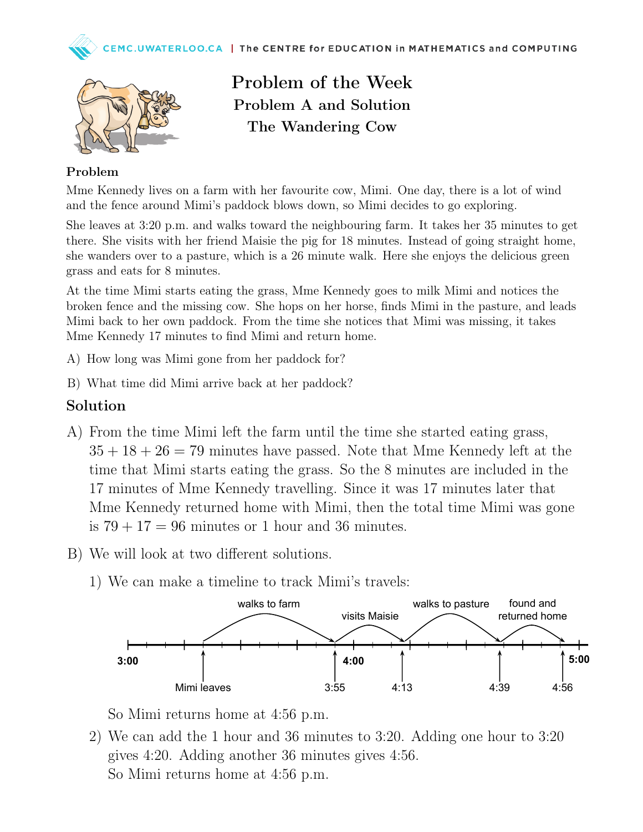



Problem of the Week Problem A and Solution The Wandering Cow

## Problem

Mme Kennedy lives on a farm with her favourite cow, Mimi. One day, there is a lot of wind and the fence around Mimi's paddock blows down, so Mimi decides to go exploring.

She leaves at 3:20 p.m. and walks toward the neighbouring farm. It takes her 35 minutes to get there. She visits with her friend Maisie the pig for 18 minutes. Instead of going straight home, she wanders over to a pasture, which is a 26 minute walk. Here she enjoys the delicious green grass and eats for 8 minutes.

At the time Mimi starts eating the grass, Mme Kennedy goes to milk Mimi and notices the broken fence and the missing cow. She hops on her horse, finds Mimi in the pasture, and leads Mimi back to her own paddock. From the time she notices that Mimi was missing, it takes Mme Kennedy 17 minutes to find Mimi and return home.

- A) How long was Mimi gone from her paddock for?
- B) What time did Mimi arrive back at her paddock?

## Solution

- A) From the time Mimi left the farm until the time she started eating grass,  $35 + 18 + 26 = 79$  minutes have passed. Note that Mme Kennedy left at the time that Mimi starts eating the grass. So the 8 minutes are included in the 17 minutes of Mme Kennedy travelling. Since it was 17 minutes later that Mme Kennedy returned home with Mimi, then the total time Mimi was gone is  $79 + 17 = 96$  minutes or 1 hour and 36 minutes.
- B) We will look at two different solutions.
	- 1) We can make a timeline to track Mimi's travels:



So Mimi returns home at 4:56 p.m.

2) We can add the 1 hour and 36 minutes to 3:20. Adding one hour to 3:20 gives 4:20. Adding another 36 minutes gives 4:56. So Mimi returns home at 4:56 p.m.